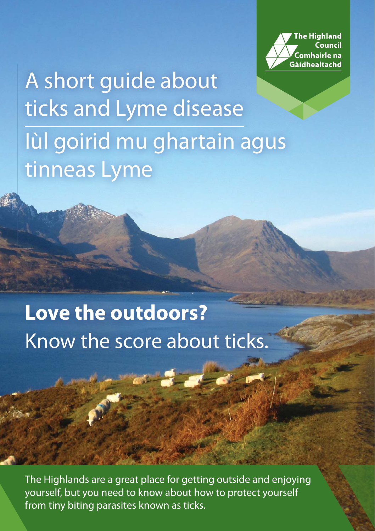**he Highland** Council .<br>Comhairle na Gàidhealtachd

A short guide about ticks and Lyme disease Iùl goirid mu ghartain agus tinneas Lyme

# **Love the outdoors?** Know the score about ticks.

The Highlands are a great place for getting outside and enjoying yourself, but you need to know about how to protect yourself from tiny biting parasites known as ticks.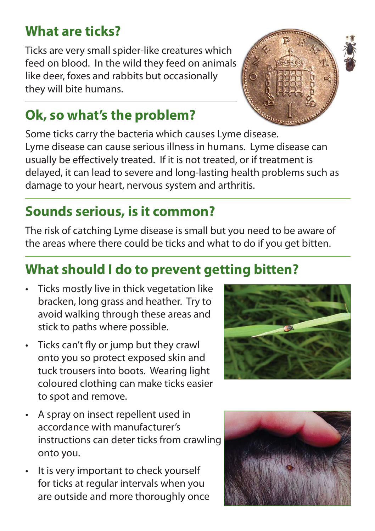#### **What are ticks?**

Ticks are very small spider-like creatures which feed on blood. In the wild they feed on animals like deer, foxes and rabbits but occasionally they will bite humans.

#### **Ok, so what's the problem?**

Some ticks carry the bacteria which causes Lyme disease. Lyme disease can cause serious illness in humans. Lyme disease can usually be effectively treated. If it is not treated, or if treatment is delayed, it can lead to severe and long-lasting health problems such as damage to your heart, nervous system and arthritis.

### **Sounds serious, is it common?**

The risk of catching Lyme disease is small but you need to be aware of the areas where there could be ticks and what to do if you get bitten.

#### **What should I do to prevent getting bitten?**

- Ticks mostly live in thick vegetation like bracken, long grass and heather. Try to avoid walking through these areas and stick to paths where possible.
- $\cdot$  Ticks can't fly or jump but they crawl onto you so protect exposed skin and tuck trousers into boots. Wearing light coloured clothing can make ticks easier to spot and remove.
- A spray on insect repellent used in accordance with manufacturer's instructions can deter ticks from crawling onto you.
- It is very important to check yourself for ticks at regular intervals when you are outside and more thoroughly once





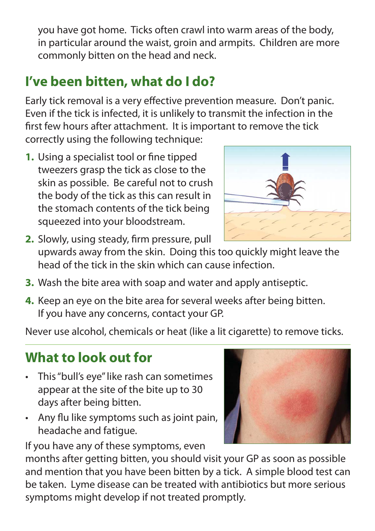you have got home. Ticks often crawl into warm areas of the body, in particular around the waist, groin and armpits. Children are more commonly bitten on the head and neck.

#### **I've been bitten, what do I do?**

Early tick removal is a very effective prevention measure. Don't panic. Even if the tick is infected, it is unlikely to transmit the infection in the first few hours after attachment. It is important to remove the tick correctly using the following technique:

**1.** Using a specialist tool or fine tipped tweezers grasp the tick as close to the skin as possible. Be careful not to crush the body of the tick as this can result in the stomach contents of the tick being squeezed into your bloodstream.



- **2.** Slowly, using steady, firm pressure, pull upwards away from the skin. Doing this too quickly might leave the head of the tick in the skin which can cause infection.
- **3.** Wash the bite area with soap and water and apply antiseptic.
- **4.** Keep an eye on the bite area for several weeks after being bitten. If you have any concerns, contact your GP.

Never use alcohol, chemicals or heat (like a lit cigarette) to remove ticks.

#### **What to look out for**

- This "bull's eye" like rash can sometimes appear at the site of the bite up to 30 days after being bitten.
- Any flu like symptoms such as joint pain, headache and fatigue.

If you have any of these symptoms, even

months after getting bitten, you should visit your GP as soon as possible and mention that you have been bitten by a tick. A simple blood test can be taken. Lyme disease can be treated with antibiotics but more serious symptoms might develop if not treated promptly.